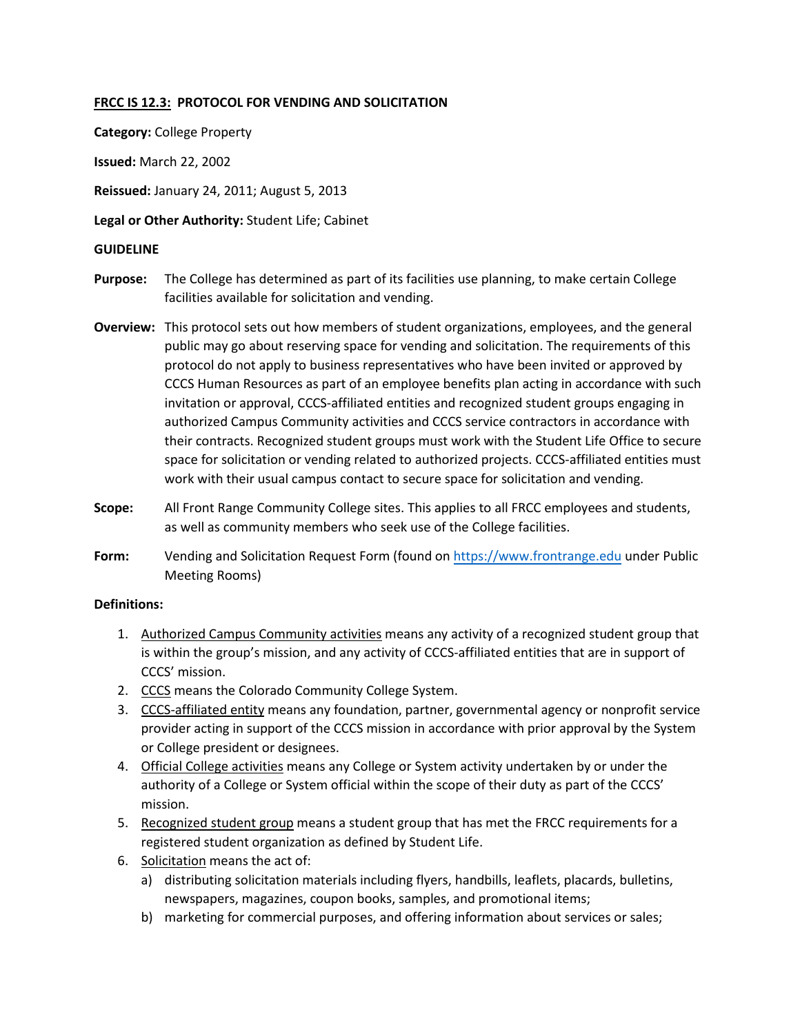## **FRCC IS 12.3: PROTOCOL FOR VENDING AND SOLICITATION**

**Category:** College Property

**Issued:** March 22, 2002

**Reissued:** January 24, 2011; August 5, 2013

**Legal or Other Authority:** Student Life; Cabinet

#### **GUIDELINE**

- **Purpose:** The College has determined as part of its facilities use planning, to make certain College facilities available for solicitation and vending.
- **Overview:** This protocol sets out how members of student organizations, employees, and the general public may go about reserving space for vending and solicitation. The requirements of this protocol do not apply to business representatives who have been invited or approved by CCCS Human Resources as part of an employee benefits plan acting in accordance with such invitation or approval, CCCS-affiliated entities and recognized student groups engaging in authorized Campus Community activities and CCCS service contractors in accordance with their contracts. Recognized student groups must work with the Student Life Office to secure space for solicitation or vending related to authorized projects. CCCS-affiliated entities must work with their usual campus contact to secure space for solicitation and vending.
- **Scope:**  All Front Range Community College sites. This applies to all FRCC employees and students, as well as community members who seek use of the College facilities.
- **Form:**  Vending and Solicitation Request Form (found on https://[www.frontrange.edu](https://www.frontrange.edu/) under Public Meeting Rooms)

#### **Definitions:**

- 1. Authorized Campus Community activities means any activity of a recognized student group that is within the group's mission, and any activity of CCCS-affiliated entities that are in support of CCCS' mission.
- 2. CCCS means the Colorado Community College System.
- 3. CCCS-affiliated entity means any foundation, partner, governmental agency or nonprofit service provider acting in support of the CCCS mission in accordance with prior approval by the System or College president or designees.
- 4. Official College activities means any College or System activity undertaken by or under the authority of a College or System official within the scope of their duty as part of the CCCS' mission.
- 5. Recognized student group means a student group that has met the FRCC requirements for a registered student organization as defined by Student Life.
- 6. Solicitation means the act of:
	- a) distributing solicitation materials including flyers, handbills, leaflets, placards, bulletins, newspapers, magazines, coupon books, samples, and promotional items;
	- b) marketing for commercial purposes, and offering information about services or sales;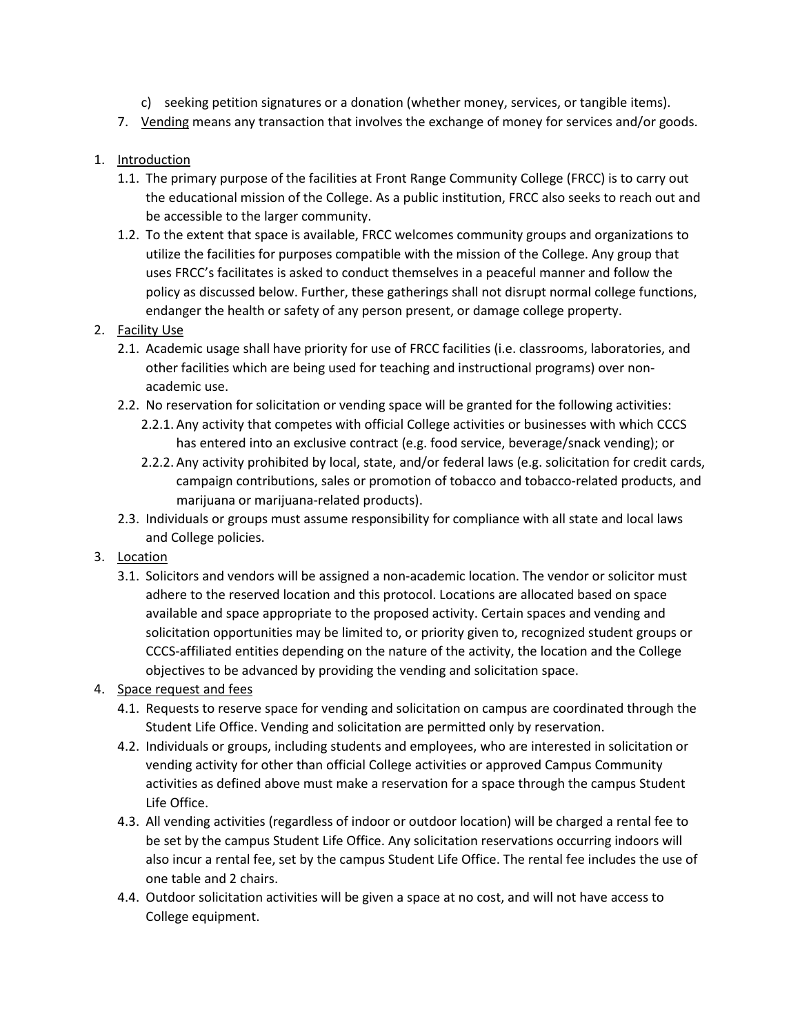- c) seeking petition signatures or a donation (whether money, services, or tangible items).
- 7. Vending means any transaction that involves the exchange of money for services and/or goods.

# 1. Introduction

- 1.1. The primary purpose of the facilities at Front Range Community College (FRCC) is to carry out the educational mission of the College. As a public institution, FRCC also seeks to reach out and be accessible to the larger community.
- 1.2. To the extent that space is available, FRCC welcomes community groups and organizations to utilize the facilities for purposes compatible with the mission of the College. Any group that uses FRCC's facilitates is asked to conduct themselves in a peaceful manner and follow the policy as discussed below. Further, these gatherings shall not disrupt normal college functions, endanger the health or safety of any person present, or damage college property.

# 2. Facility Use

- 2.1. Academic usage shall have priority for use of FRCC facilities (i.e. classrooms, laboratories, and other facilities which are being used for teaching and instructional programs) over nonacademic use.
- 2.2. No reservation for solicitation or vending space will be granted for the following activities:
	- 2.2.1. Any activity that competes with official College activities or businesses with which CCCS has entered into an exclusive contract (e.g. food service, beverage/snack vending); or
	- 2.2.2. Any activity prohibited by local, state, and/or federal laws (e.g. solicitation for credit cards, campaign contributions, sales or promotion of tobacco and tobacco-related products, and marijuana or marijuana-related products).
- 2.3. Individuals or groups must assume responsibility for compliance with all state and local laws and College policies.
- 3. Location
	- 3.1. Solicitors and vendors will be assigned a non-academic location. The vendor or solicitor must adhere to the reserved location and this protocol. Locations are allocated based on space available and space appropriate to the proposed activity. Certain spaces and vending and solicitation opportunities may be limited to, or priority given to, recognized student groups or CCCS-affiliated entities depending on the nature of the activity, the location and the College objectives to be advanced by providing the vending and solicitation space.
- 4. Space request and fees
	- 4.1. Requests to reserve space for vending and solicitation on campus are coordinated through the Student Life Office. Vending and solicitation are permitted only by reservation.
	- 4.2. Individuals or groups, including students and employees, who are interested in solicitation or vending activity for other than official College activities or approved Campus Community activities as defined above must make a reservation for a space through the campus Student Life Office.
	- 4.3. All vending activities (regardless of indoor or outdoor location) will be charged a rental fee to be set by the campus Student Life Office. Any solicitation reservations occurring indoors will also incur a rental fee, set by the campus Student Life Office. The rental fee includes the use of one table and 2 chairs.
	- 4.4. Outdoor solicitation activities will be given a space at no cost, and will not have access to College equipment.